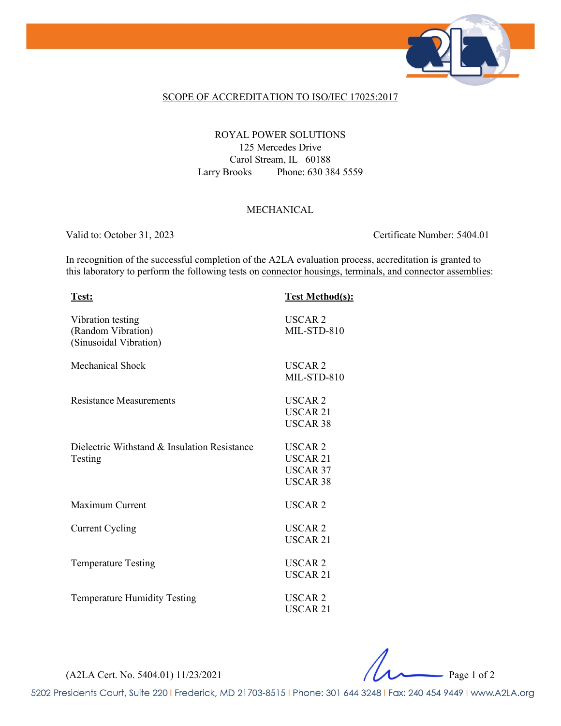

#### SCOPE OF ACCREDITATION TO ISO/IEC 17025:2017

### ROYAL POWER SOLUTIONS 125 Mercedes Drive Carol Stream, IL 60188 Larry Brooks Phone: 630 384 5559

### MECHANICAL

Valid to: October 31, 2023 Certificate Number: 5404.01

In recognition of the successful completion of the A2LA evaluation process, accreditation is granted to this laboratory to perform the following tests on connector housings, terminals, and connector assemblies:

| Test:                                                             | <b>Test Method(s):</b>                                                      |
|-------------------------------------------------------------------|-----------------------------------------------------------------------------|
| Vibration testing<br>(Random Vibration)<br>(Sinusoidal Vibration) | <b>USCAR2</b><br>MIL-STD-810                                                |
| <b>Mechanical Shock</b>                                           | USCAR <sub>2</sub><br>MIL-STD-810                                           |
| <b>Resistance Measurements</b>                                    | USCAR <sub>2</sub><br>USCAR 21<br><b>USCAR 38</b>                           |
| Dielectric Withstand & Insulation Resistance<br>Testing           | USCAR <sub>2</sub><br><b>USCAR 21</b><br><b>USCAR 37</b><br><b>USCAR 38</b> |
| Maximum Current                                                   | USCAR <sub>2</sub>                                                          |
| <b>Current Cycling</b>                                            | USCAR <sub>2</sub><br><b>USCAR 21</b>                                       |
| <b>Temperature Testing</b>                                        | USCAR <sub>2</sub><br><b>USCAR 21</b>                                       |
| <b>Temperature Humidity Testing</b>                               | <b>USCAR2</b><br>USCAR <sub>21</sub>                                        |

(A2LA Cert. No. 5404.01) 11/23/2021 Page 1 of 2

5202 Presidents Court, Suite 220 | Frederick, MD 21703-8515 | Phone: 301 644 3248 | Fax: 240 454 9449 | www.A2LA.org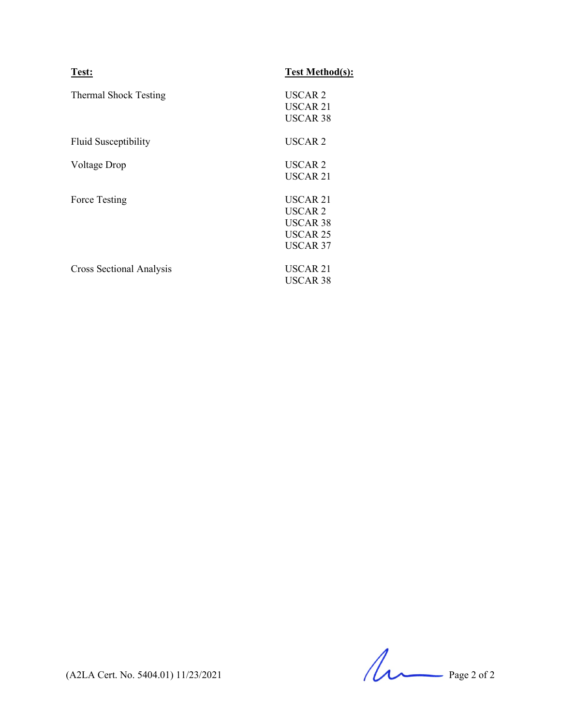| Test:                        | <b>Test Method(s):</b> |
|------------------------------|------------------------|
| <b>Thermal Shock Testing</b> | USCAR <sub>2</sub>     |
|                              | USCAR 21               |
|                              | <b>USCAR 38</b>        |
| <b>Fluid Susceptibility</b>  | USCAR <sub>2</sub>     |
| Voltage Drop                 | USCAR <sub>2</sub>     |
|                              | USCAR <sub>21</sub>    |
| Force Testing                | USCAR 21               |
|                              | USCAR <sub>2</sub>     |
|                              | USCAR 38               |
|                              | <b>USCAR 25</b>        |
|                              | USCAR 37               |
| Cross Sectional Analysis     | <b>USCAR 21</b>        |
|                              | USCAR 38               |

 $(A2LA$  Cert. No. 5404.01) 11/23/2021